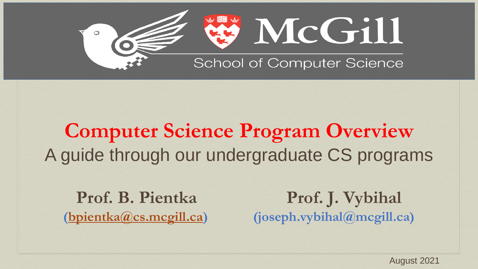

### **Computer Science Program Overview** A guide through our undergraduate CS programs

Prof. B. Pientka Prof. J. Vybihal **[\(bpientka@cs.mcgill.ca\)](mailto:bpientka@cs.mcgill.ca) (joseph.vybihal@mcgill.ca)**

August 2021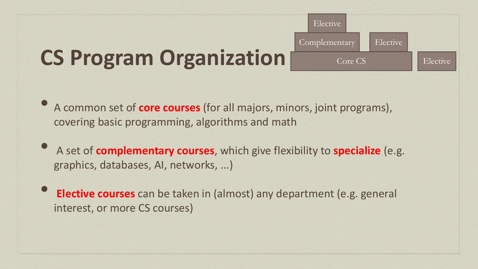# **CS Program Organization**

• A common set of **core courses** (for all majors, minors, joint programs), covering basic programming, algorithms and math

Core CS<sup>1</sup>

Elective

Elective

Complementary

Elective

- A set of **complementary courses**, which give flexibility to **specialize** (e.g. graphics, databases, AI, networks, ...)
- **Elective courses** can be taken in (almost) any department (e.g. general interest, or more CS courses)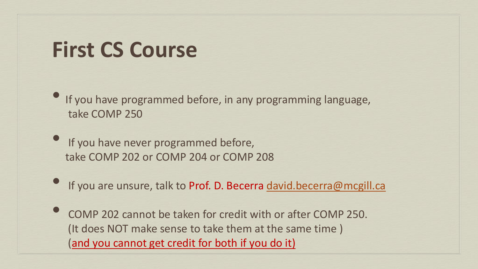#### **First CS Course**

• If you have programmed before, in any programming language, take COMP 250

- If you have never programmed before, take COMP 202 or COMP 204 or COMP 208
- If you are unsure, talk to Prof. D. Becerra [david.becerra@mcgill.ca](mailto:david.becerra@mcgill.ca)
- COMP 202 cannot be taken for credit with or after COMP 250. (It does NOT make sense to take them at the same time ) (and you cannot get credit for both if you do it)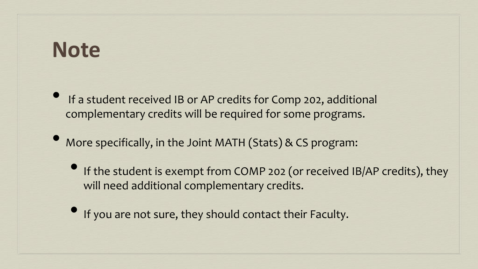#### **Note**

- If a student received IB or AP credits for Comp 202, additional complementary credits will be required for some programs.
- More specifically, in the Joint MATH (Stats) & CS program:
	- If the student is exempt from COMP 202 (or received IB/AP credits), they will need additional complementary credits.
	- If you are not sure, they should contact their Faculty.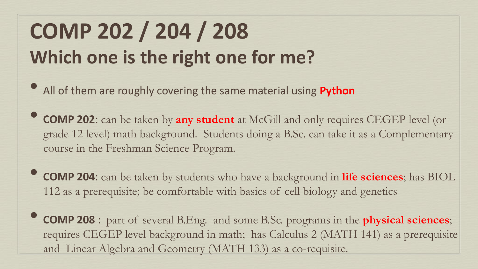# **COMP 202 / 204 / 208 Which one is the right one for me?**

- All of them are roughly covering the same material using **Python**
- **COMP 202**: can be taken by **any student** at McGill and only requires CEGEP level (or grade 12 level) math background. Students doing a B.Sc. can take it as a Complementary course in the Freshman Science Program.
- **COMP 204**: can be taken by students who have a background in **life sciences**; has BIOL 112 as a prerequisite; be comfortable with basics of cell biology and genetics
- **COMP 208** : part of several B.Eng. and some B.Sc. programs in the **physical sciences**; requires CEGEP level background in math; has Calculus 2 (MATH 141) as a prerequisite and Linear Algebra and Geometry (MATH 133) as a co-requisite.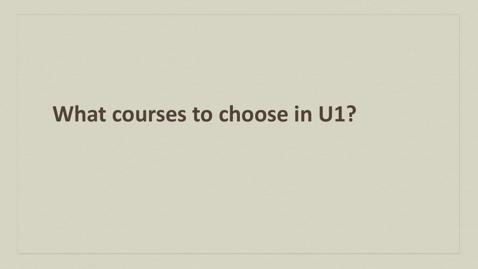## **What courses to choose in U1?**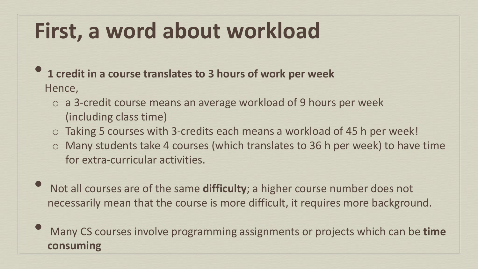## **First, a word about workload**

- **1 credit in a course translates to 3 hours of work per week**  Hence,
	- o a 3-credit course means an average workload of 9 hours per week (including class time)
	- o Taking 5 courses with 3-credits each means a workload of 45 h per week!
	- o Many students take 4 courses (which translates to 36 h per week) to have time for extra-curricular activities.
- Not all courses are of the same **difficulty**; a higher course number does not necessarily mean that the course is more difficult, it requires more background.
- Many CS courses involve programming assignments or projects which can be **time consuming**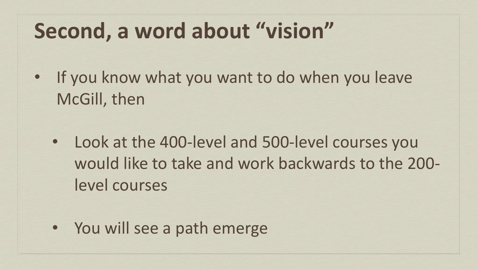## **Second, a word about "vision"**

- If you know what you want to do when you leave McGill, then
	- Look at the 400-level and 500-level courses you would like to take and work backwards to the 200 level courses
	- You will see a path emerge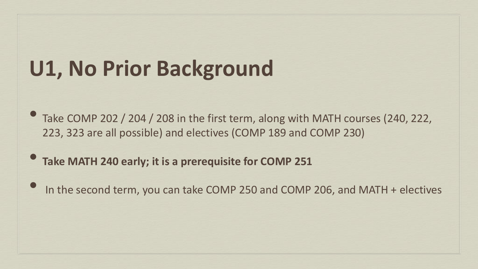## **U1, No Prior Background**

- Take COMP 202 / 204 / 208 in the first term, along with MATH courses (240, 222, 223, 323 are all possible) and electives (COMP 189 and COMP 230)
- **Take MATH 240 early; it is a prerequisite for COMP 251**
- In the second term, you can take COMP 250 and COMP 206, and MATH + electives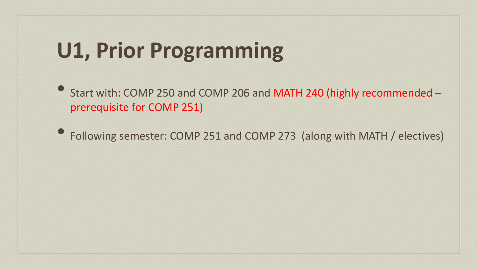## **U1, Prior Programming**

• Start with: COMP 250 and COMP 206 and MATH 240 (highly recommended – prerequisite for COMP 251)

• Following semester: COMP 251 and COMP 273 (along with MATH / electives)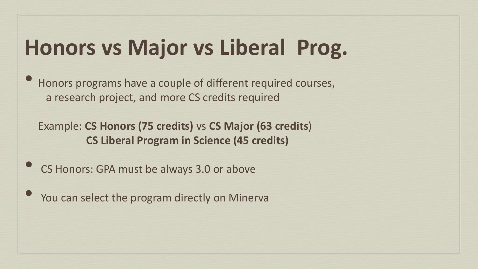## **Honors vs Major vs Liberal Prog.**

• Honors programs have a couple of different required courses, a research project, and more CS credits required

Example: **CS Honors (75 credits)** vs **CS Major (63 credits**) **CS Liberal Program in Science (45 credits)**

- CS Honors: GPA must be always 3.0 or above
	- You can select the program directly on Minerva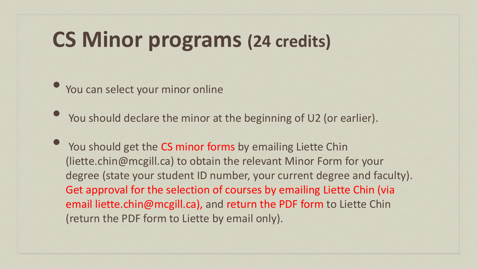### **CS Minor programs (24 credits)**

• You can select your minor online

• You should declare the minor at the beginning of U2 (or earlier).

You should get the CS minor forms by emailing Liette Chin (liette.chin@mcgill.ca) to obtain the relevant Minor Form for your degree (state your student ID number, your current degree and faculty). Get approval for the selection of courses by emailing Liette Chin (via email liette.chin@mcgill.ca), and return the PDF form to Liette Chin (return the PDF form to Liette by email only).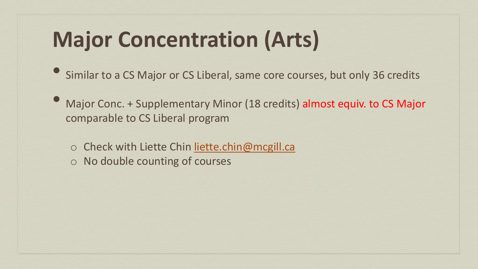# **Major Concentration (Arts)**

- Similar to a CS Major or CS Liberal, same core courses, but only 36 credits
- Major Conc. + Supplementary Minor (18 credits) almost equiv. to CS Major comparable to CS Liberal program
	- o Check with Liette Chin [liette.chin@mcgill.ca](mailto:liette.chin@mcgill.ca) o No double counting of courses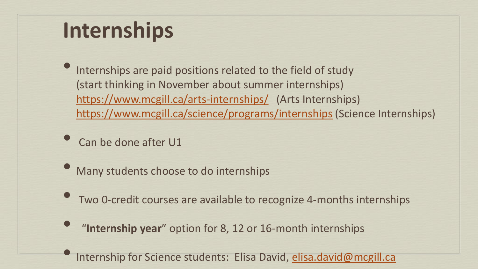## **Internships**

Internships are paid positions related to the field of study (start thinking in November about summer internships) <https://www.mcgill.ca/arts-internships/> (Arts Internships) <https://www.mcgill.ca/science/programs/internships> (Science Internships)

Can be done after U1

- Many students choose to do internships
- Two 0-credit courses are available to recognize 4-months internships
- "**Internship year**" option for 8, 12 or 16-month internships
	- Internship for Science students: Elisa David, [elisa.david@mcgill.ca](mailto:elisa.david@mcgill.ca)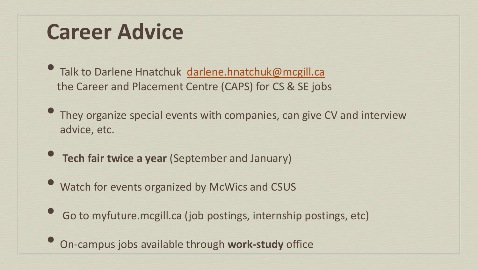## **Career Advice**

• Talk to Darlene Hnatchuk [darlene.hnatchuk@mcgill.ca](mailto:darlene.hnatchuk@mcgill.ca) the Career and Placement Centre (CAPS) for CS & SE jobs

• They organize special events with companies, can give CV and interview advice, etc.

- **Tech fair twice a year** (September and January)
- Watch for events organized by McWics and CSUS
- Go to myfuture.mcgill.ca (job postings, internship postings, etc)

• On-campus jobs available through **work-study** office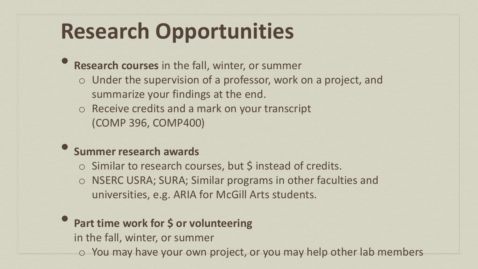## **Research Opportunities**

• **Research courses** in the fall, winter, or summer

- o Under the supervision of a professor, work on a project, and summarize your findings at the end.
- o Receive credits and a mark on your transcript (COMP 396, COMP400)

#### • **Summer research awards**

- $\circ$  Similar to research courses, but \$ instead of credits.
- o NSERC USRA; SURA; Similar programs in other faculties and universities, e.g. ARIA for McGill Arts students.

#### **Part time work for \$ or volunteering**

in the fall, winter, or summer

o You may have your own project, or you may help other lab members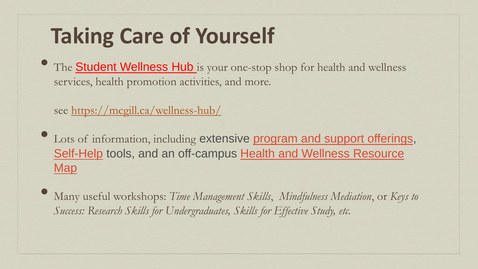# **Taking Care of Yourself**

The **Student Wellness Hub** is your one-stop shop for health and wellness services, health promotion activities, and more.

see <https://mcgill.ca/wellness-hub/>

- Lots of information, including extensive program and support offerings, Self-Help tools, and an off-campus Health and Wellness Resource **Map**
- Many useful workshops: *Time Management Skills*, *Mindfulness Mediation*, or *Keys to Success: Research Skills for Undergraduates, Skills for Effective Study, etc.*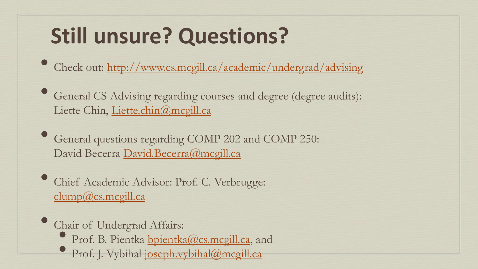# **Still unsure? Questions?**

- Check out: <http://www.cs.mcgill.ca/academic/undergrad/advising>
- General CS Advising regarding courses and degree (degree audits): Liette Chin, [Liette.chin@mcgill.ca](mailto:Liette.chin@mcgill.ca)
- General questions regarding COMP 202 and COMP 250: David Becerra [David.Becerra@mcgill.ca](mailto:David.Becerra@mcgill.ca)
- Chief Academic Advisor: Prof. C. Verbrugge: [clump@cs.mcgill.ca](mailto:clump@cs.mcgill.ca)
- Chair of Undergrad Affairs:
	- Prof. B. Pientka [bpientka@cs.mcgill.ca](mailto:bpientka@cs.mcgill.ca), and
	- Prof. J. Vybihal [joseph.vybihal@mcgill.ca](mailto:joseph.vybihal@mcgill.ca)